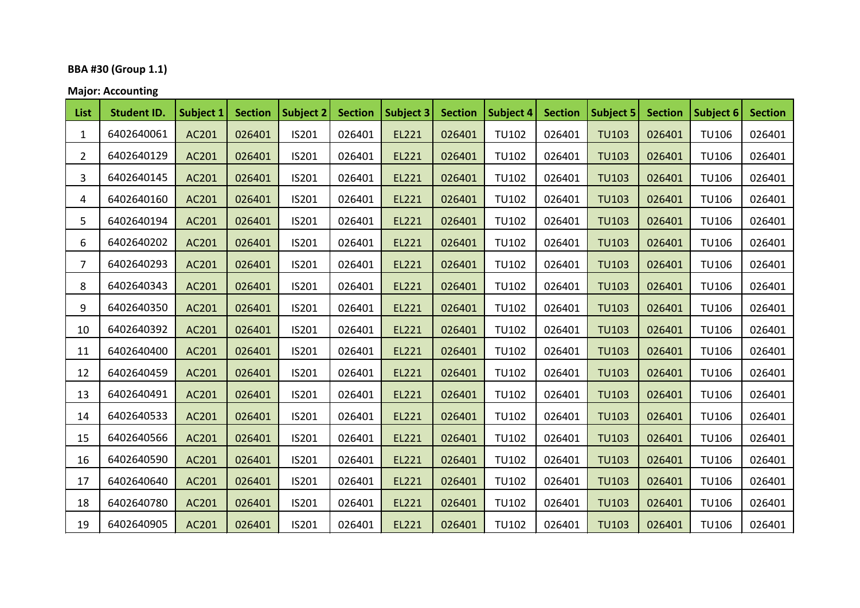## **BBA #30 (Group 1.1)**

**Major: Accounting**

| List           | <b>Student ID.</b> | Subject 1 | <b>Section</b> | <b>Subject 2</b> | <b>Section</b> | Subject 3 | <b>Section</b> | <b>Subject 4</b> | <b>Section</b> | <b>Subject 5</b> | <b>Section</b> | <b>Subject 6</b> | <b>Section</b> |
|----------------|--------------------|-----------|----------------|------------------|----------------|-----------|----------------|------------------|----------------|------------------|----------------|------------------|----------------|
| $\mathbf{1}$   | 6402640061         | AC201     | 026401         | IS201            | 026401         | EL221     | 026401         | <b>TU102</b>     | 026401         | <b>TU103</b>     | 026401         | <b>TU106</b>     | 026401         |
| $\overline{2}$ | 6402640129         | AC201     | 026401         | IS201            | 026401         | EL221     | 026401         | <b>TU102</b>     | 026401         | <b>TU103</b>     | 026401         | <b>TU106</b>     | 026401         |
| 3              | 6402640145         | AC201     | 026401         | IS201            | 026401         | EL221     | 026401         | <b>TU102</b>     | 026401         | <b>TU103</b>     | 026401         | <b>TU106</b>     | 026401         |
| 4              | 6402640160         | AC201     | 026401         | IS201            | 026401         | EL221     | 026401         | <b>TU102</b>     | 026401         | <b>TU103</b>     | 026401         | <b>TU106</b>     | 026401         |
| 5              | 6402640194         | AC201     | 026401         | IS201            | 026401         | EL221     | 026401         | <b>TU102</b>     | 026401         | <b>TU103</b>     | 026401         | <b>TU106</b>     | 026401         |
| 6              | 6402640202         | AC201     | 026401         | IS201            | 026401         | EL221     | 026401         | <b>TU102</b>     | 026401         | <b>TU103</b>     | 026401         | <b>TU106</b>     | 026401         |
| $\overline{7}$ | 6402640293         | AC201     | 026401         | IS201            | 026401         | EL221     | 026401         | <b>TU102</b>     | 026401         | <b>TU103</b>     | 026401         | <b>TU106</b>     | 026401         |
| 8              | 6402640343         | AC201     | 026401         | IS201            | 026401         | EL221     | 026401         | <b>TU102</b>     | 026401         | <b>TU103</b>     | 026401         | <b>TU106</b>     | 026401         |
| 9              | 6402640350         | AC201     | 026401         | IS201            | 026401         | EL221     | 026401         | <b>TU102</b>     | 026401         | <b>TU103</b>     | 026401         | <b>TU106</b>     | 026401         |
| 10             | 6402640392         | AC201     | 026401         | IS201            | 026401         | EL221     | 026401         | <b>TU102</b>     | 026401         | <b>TU103</b>     | 026401         | <b>TU106</b>     | 026401         |
| 11             | 6402640400         | AC201     | 026401         | IS201            | 026401         | EL221     | 026401         | <b>TU102</b>     | 026401         | <b>TU103</b>     | 026401         | <b>TU106</b>     | 026401         |
| 12             | 6402640459         | AC201     | 026401         | IS201            | 026401         | EL221     | 026401         | <b>TU102</b>     | 026401         | <b>TU103</b>     | 026401         | <b>TU106</b>     | 026401         |
| 13             | 6402640491         | AC201     | 026401         | IS201            | 026401         | EL221     | 026401         | <b>TU102</b>     | 026401         | <b>TU103</b>     | 026401         | <b>TU106</b>     | 026401         |
| 14             | 6402640533         | AC201     | 026401         | IS201            | 026401         | EL221     | 026401         | <b>TU102</b>     | 026401         | <b>TU103</b>     | 026401         | <b>TU106</b>     | 026401         |
| 15             | 6402640566         | AC201     | 026401         | IS201            | 026401         | EL221     | 026401         | <b>TU102</b>     | 026401         | <b>TU103</b>     | 026401         | <b>TU106</b>     | 026401         |
| 16             | 6402640590         | AC201     | 026401         | IS201            | 026401         | EL221     | 026401         | <b>TU102</b>     | 026401         | <b>TU103</b>     | 026401         | <b>TU106</b>     | 026401         |
| 17             | 6402640640         | AC201     | 026401         | IS201            | 026401         | EL221     | 026401         | <b>TU102</b>     | 026401         | <b>TU103</b>     | 026401         | <b>TU106</b>     | 026401         |
| 18             | 6402640780         | AC201     | 026401         | IS201            | 026401         | EL221     | 026401         | <b>TU102</b>     | 026401         | <b>TU103</b>     | 026401         | <b>TU106</b>     | 026401         |
| 19             | 6402640905         | AC201     | 026401         | IS201            | 026401         | EL221     | 026401         | <b>TU102</b>     | 026401         | <b>TU103</b>     | 026401         | <b>TU106</b>     | 026401         |